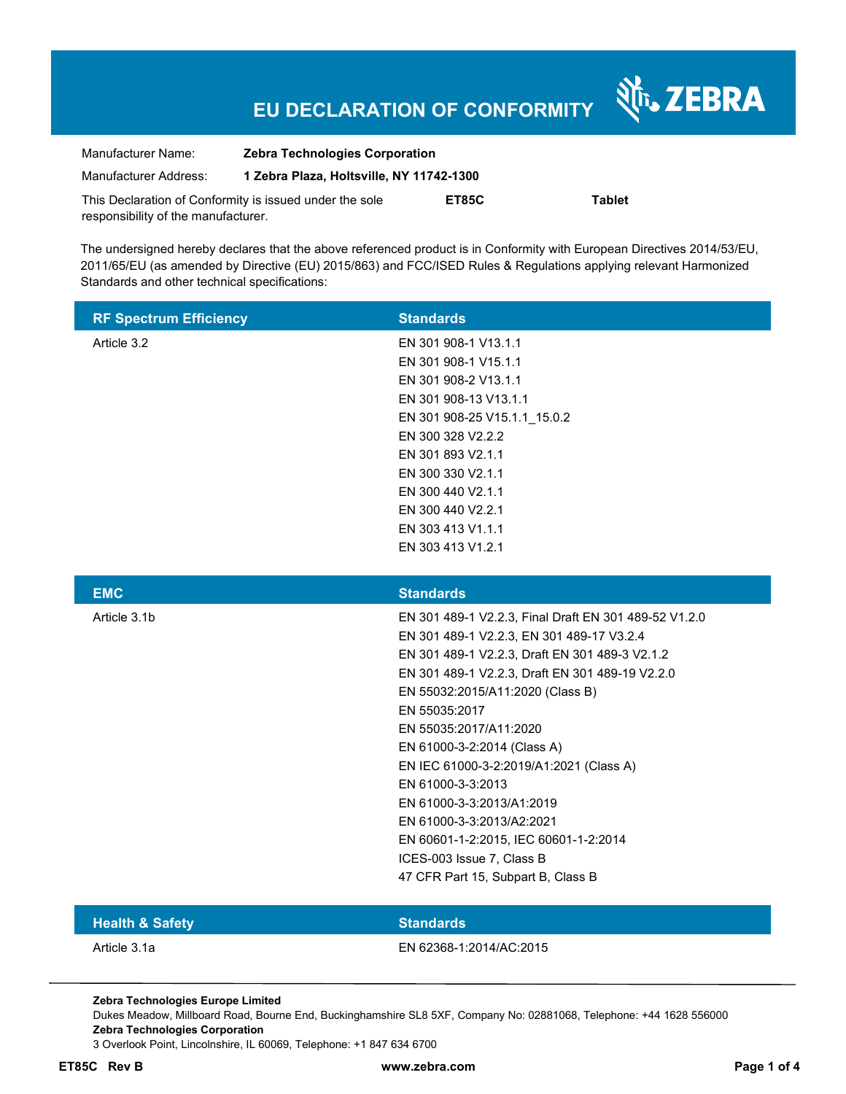# **EU DECLARATION OF CONFORMITY**

Nr. ZEBRA

| Manufacturer Name:                                      | <b>Zebra Technologies Corporation</b>    |       |        |  |
|---------------------------------------------------------|------------------------------------------|-------|--------|--|
| Manufacturer Address:                                   | 1 Zebra Plaza, Holtsville, NY 11742-1300 |       |        |  |
| This Declaration of Conformity is issued under the sole |                                          | ET85C | Tablet |  |
| responsibility of the manufacturer.                     |                                          |       |        |  |

The undersigned hereby declares that the above referenced product is in Conformity with European Directives 2014/53/EU, 2011/65/EU (as amended by Directive (EU) 2015/863) and FCC/ISED Rules & Regulations applying relevant Harmonized Standards and other technical specifications:

| <b>RF Spectrum Efficiency</b> | <b>Standards</b>                                      |
|-------------------------------|-------------------------------------------------------|
| Article 3.2                   | EN 301 908-1 V13.1.1                                  |
|                               | EN 301 908-1 V15.1.1                                  |
|                               | EN 301 908-2 V13.1.1                                  |
|                               | EN 301 908-13 V13.1.1                                 |
|                               | EN 301 908-25 V15.1.1 15.0.2                          |
|                               | EN 300 328 V2.2.2                                     |
|                               | EN 301 893 V2.1.1                                     |
|                               | EN 300 330 V2.1.1                                     |
|                               | EN 300 440 V2.1.1                                     |
|                               | EN 300 440 V2.2.1                                     |
|                               | EN 303 413 V1.1.1                                     |
|                               | EN 303 413 V1.2.1                                     |
|                               |                                                       |
| <b>EMC</b>                    | <b>Standards</b>                                      |
| Article 3.1b                  | EN 301 489-1 V2.2.3, Final Draft EN 301 489-52 V1.2.0 |
|                               | EN 301 489-1 V2.2.3, EN 301 489-17 V3.2.4             |
|                               | EN 301 489-1 V2.2.3, Draft EN 301 489-3 V2.1.2        |
|                               | EN 301 489-1 V2.2.3, Draft EN 301 489-19 V2.2.0       |
|                               | EN 55032:2015/A11:2020 (Class B)                      |
|                               | EN 55035:2017                                         |
|                               | EN 55035:2017/A11:2020                                |
|                               | EN 61000-3-2:2014 (Class A)                           |
|                               | EN IEC 61000-3-2:2019/A1:2021 (Class A)               |
|                               | EN 61000-3-3:2013                                     |
|                               | EN 61000-3-3:2013/A1:2019                             |
|                               | EN 61000-3-3:2013/A2:2021                             |
|                               | EN 60601-1-2:2015, IEC 60601-1-2:2014                 |
|                               | ICES-003 Issue 7, Class B                             |
|                               | 47 CFR Part 15, Subpart B, Class B                    |
|                               |                                                       |

### **Health & Safety Standards**

Article 3.1a EN 62368-1:2014/AC:2015

**Zebra Technologies Europe Limited** 

Dukes Meadow, Millboard Road, Bourne End, Buckinghamshire SL8 5XF, Company No: 02881068, Telephone: +44 1628 556000 **Zebra Technologies Corporation** 

3 Overlook Point, Lincolnshire, IL 60069, Telephone: +1 847 634 6700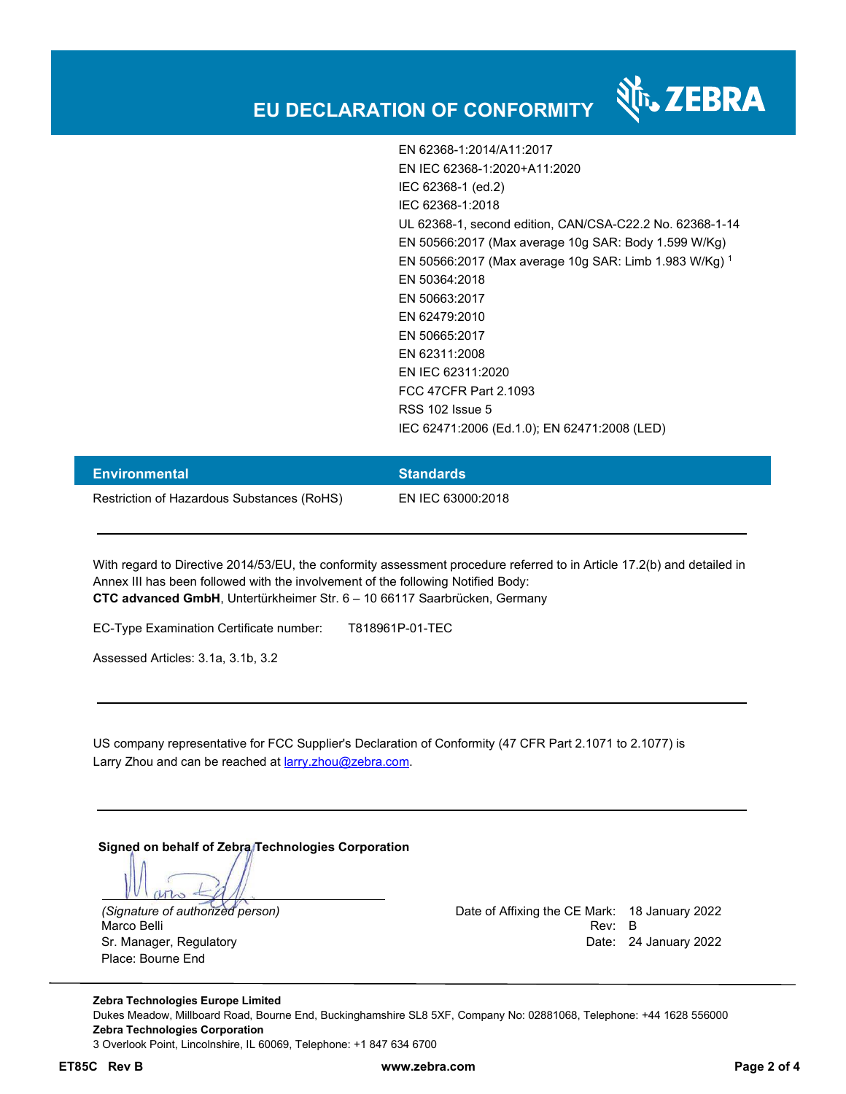## **EU DECLARATION OF CONFORMITY**

EN 62368-1:2014/A11:2017 EN IEC 62368-1:2020+A11:2020 IEC 62368-1 (ed.2) IEC 62368-1:2018 UL 62368-1, second edition, CAN/CSA-C22.2 No. 62368-1-14 EN 50566:2017 (Max average 10g SAR: Body 1.599 W/Kg) EN 50566:2017 (Max average 10g SAR: Limb 1.983 W/Kg) <sup>1</sup> EN 50364:2018 EN 50663:2017 EN 62479:2010 EN 50665:2017 EN 62311:2008 EN IEC 62311:2020 FCC 47CFR Part 2.1093 RSS 102 Issue 5 IEC 62471:2006 (Ed.1.0); EN 62471:2008 (LED)

| <b>Environmental</b>                       | <b>Standards</b>  |
|--------------------------------------------|-------------------|
| Restriction of Hazardous Substances (RoHS) | EN IEC 63000:2018 |

With regard to Directive 2014/53/EU, the conformity assessment procedure referred to in Article 17.2(b) and detailed in Annex III has been followed with the involvement of the following Notified Body: **CTC advanced GmbH**, Untertürkheimer Str. 6 – 10 66117 Saarbrücken, Germany

EC-Type Examination Certificate number: T818961P-01-TEC

Assessed Articles: 3.1a, 3.1b, 3.2

US company representative for FCC Supplier's Declaration of Conformity (47 CFR Part 2.1071 to 2.1077) is Larry Zhou and can be reached at larry.zhou@zebra.com.

**Signed on behalf of Zebra Technologies Corporation** 

Place: Bourne End

*(Signature of authorized person)* Date of Affixing the CE Mark: 18 January 2022 Marco Belli Rev: B . And the state of the state of the state of the state of the state of the state of the state of the state of the state of the state of the state of the state of the state of the state of the state of th Sr. Manager, Regulatory Date: 24 January 2022

**Zebra Technologies Europe Limited**  Dukes Meadow, Millboard Road, Bourne End, Buckinghamshire SL8 5XF, Company No: 02881068, Telephone: +44 1628 556000 **Zebra Technologies Corporation**  3 Overlook Point, Lincolnshire, IL 60069, Telephone: +1 847 634 6700

**ET85C Rev B www.zebra.com Page 2 of 4**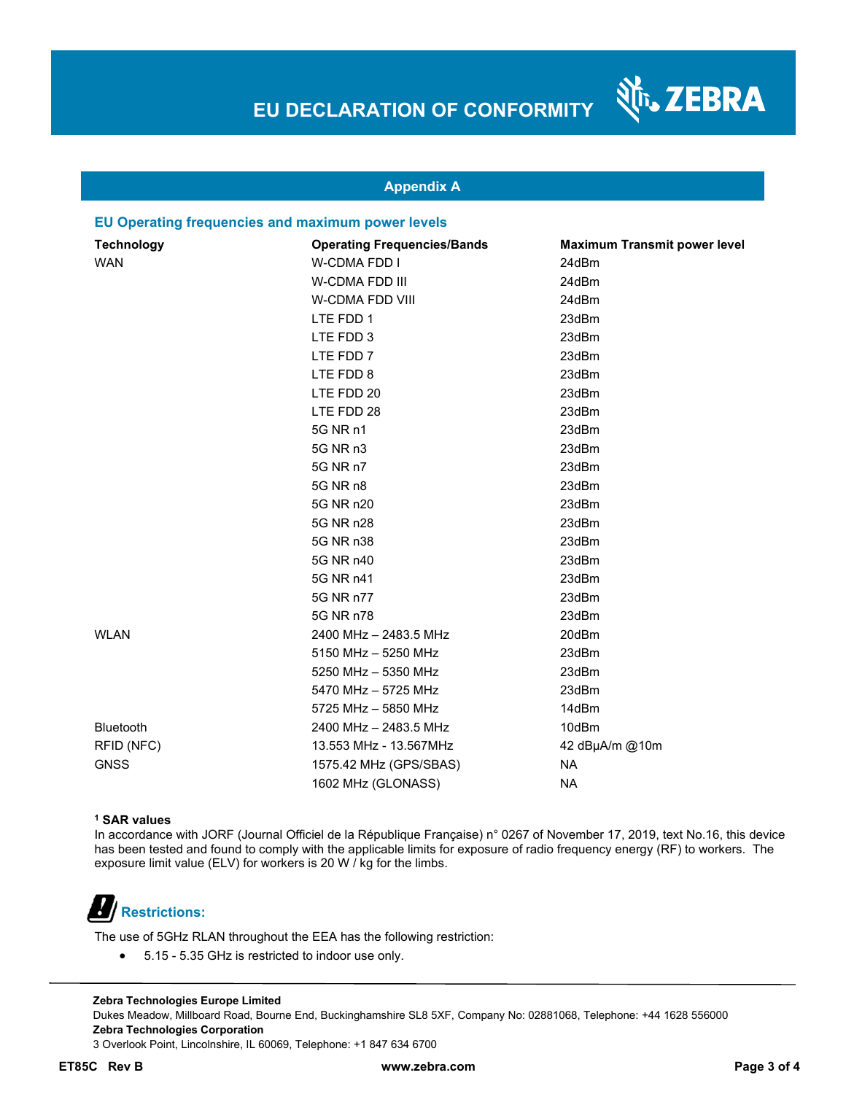N<sub>T</sub>, ZEBRA

### **Appendix A**

#### **EU Operating frequencies and maximum power levels**

| <b>Technology</b> | <b>Operating Frequencies/Bands</b> | <b>Maximum Transmit power level</b> |
|-------------------|------------------------------------|-------------------------------------|
| <b>WAN</b>        | W-CDMA FDD I                       | 24dBm                               |
|                   | W-CDMA FDD III                     | 24dBm                               |
|                   | W-CDMA FDD VIII                    | 24dBm                               |
|                   | LTE FDD 1                          | 23dBm                               |
|                   | LTE FDD 3                          | 23dBm                               |
|                   | LTE FDD 7                          | 23dBm                               |
|                   | LTE FDD 8                          | 23dBm                               |
|                   | LTE FDD 20                         | 23dBm                               |
|                   | LTE FDD 28                         | 23dBm                               |
|                   | 5G NR n1                           | 23dBm                               |
|                   | 5G NR n3                           | 23dBm                               |
|                   | 5G NR n7                           | 23dBm                               |
|                   | 5G NR n8                           | 23dBm                               |
|                   | 5G NR n20                          | 23dBm                               |
|                   | 5G NR n28                          | 23dBm                               |
|                   | 5G NR n38                          | 23dBm                               |
|                   | 5G NR n40                          | 23dBm                               |
|                   | 5G NR n41                          | 23dBm                               |
|                   | 5G NR n77                          | 23dBm                               |
|                   | 5G NR n78                          | 23dBm                               |
| <b>WLAN</b>       | 2400 MHz - 2483.5 MHz              | 20dBm                               |
|                   | 5150 MHz - 5250 MHz                | 23dBm                               |
|                   | 5250 MHz - 5350 MHz                | 23dBm                               |
|                   | 5470 MHz - 5725 MHz                | 23dBm                               |
|                   | 5725 MHz - 5850 MHz                | 14dBm                               |
| Bluetooth         | 2400 MHz - 2483.5 MHz              | 10dBm                               |
| RFID (NFC)        | 13.553 MHz - 13.567MHz             | 42 dBµA/m @10m                      |
| <b>GNSS</b>       | 1575.42 MHz (GPS/SBAS)             | <b>NA</b>                           |
|                   | 1602 MHz (GLONASS)                 | <b>NA</b>                           |

#### **1 SAR values**

In accordance with JORF (Journal Officiel de la République Française) n° 0267 of November 17, 2019, text No.16, this device has been tested and found to comply with the applicable limits for exposure of radio frequency energy (RF) to workers. The exposure limit value (ELV) for workers is 20 W / kg for the limbs.

# **Restrictions:**

The use of 5GHz RLAN throughout the EEA has the following restriction:

5.15 - 5.35 GHz is restricted to indoor use only.

**Zebra Technologies Europe Limited**  Dukes Meadow, Millboard Road, Bourne End, Buckinghamshire SL8 5XF, Company No: 02881068, Telephone: +44 1628 556000 **Zebra Technologies Corporation**  3 Overlook Point, Lincolnshire, IL 60069, Telephone: +1 847 634 6700